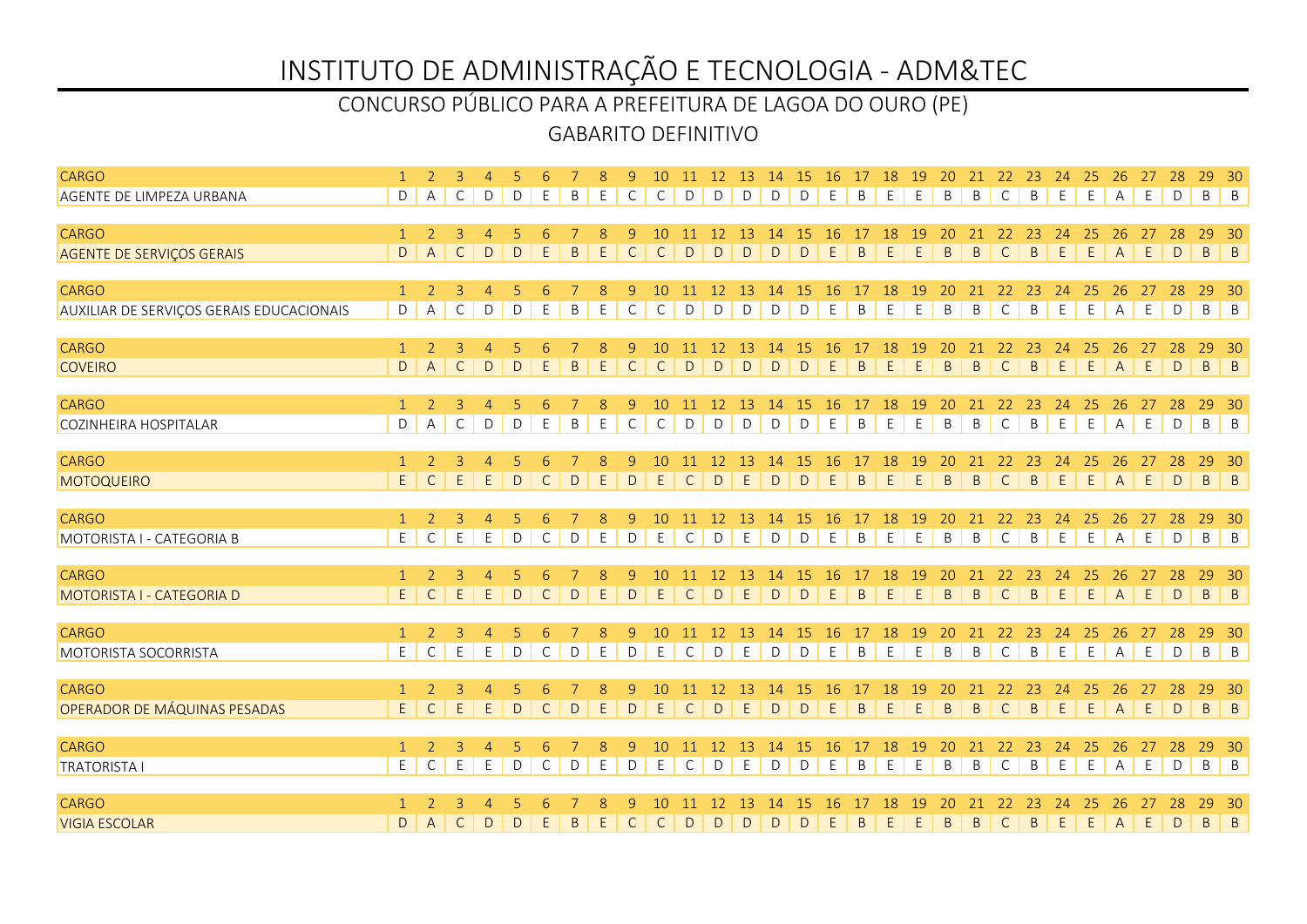### GABARITO DEFINITIVO CONCURSO PÚBLICO PARA A PREFEITURA DE LAGOA DO OURO (PE)

| <b>CARGO</b>                             |                 |                | 3              | $\overline{4}$      |              |              |              | 8           | 9            | 10           |              |               | 11 12 13 14 15 16 17 18 |              |              |                |              |             | 19            | <b>20</b>   |              |              | 21 22 23 24    |             | 25      | 26             | 27  | 28           | 29                        | - 30              |
|------------------------------------------|-----------------|----------------|----------------|---------------------|--------------|--------------|--------------|-------------|--------------|--------------|--------------|---------------|-------------------------|--------------|--------------|----------------|--------------|-------------|---------------|-------------|--------------|--------------|----------------|-------------|---------|----------------|-----|--------------|---------------------------|-------------------|
| AGENTE DE LIMPEZA URBANA                 | D               | $\mathsf{A}$   | C              | D                   | D            | E            | B            | E           | C            | $\mathsf{C}$ | $\mathsf{D}$ | $\mathsf{D}$  | D                       | $\mathsf{D}$ | $\mathsf{D}$ | E              | B            | E           | E             | B           | B            | $\mathsf{C}$ | B              | E           | E       | $\mathsf{A}$   | E   | D            | B B                       |                   |
|                                          |                 |                |                |                     |              |              |              |             |              |              |              |               |                         |              |              |                |              |             |               |             |              |              |                |             |         |                |     |              |                           |                   |
| <b>CARGO</b>                             | $\mathbf{1}$    | $\overline{2}$ | 3              | 4                   |              |              |              |             | 9            | 10           | -11          | <sup>12</sup> | -13                     | 14           | -15          | -16            | 17           | 18          | -19           | 20          | 21           | 22           | -23            | -24         | 25      | 26             | -27 | -28          | 29                        | - 30              |
| <b>AGENTE DE SERVIÇOS GERAIS</b>         | D               | $\overline{A}$ | $\mathsf{C}$   | $\mathsf D$         | D            | E            | B            | E           | $\mathsf{C}$ | $\mathsf{C}$ | D            | D             | D                       | D            | $\Gamma$     | E.             | <sub>R</sub> | E           | E             | B           | B            | $\mathsf{C}$ | $\mathsf B$    | E           | E       | $\overline{A}$ | E   | D            | $\mathsf B$               | $\vert$ B         |
| <b>CARGO</b>                             | $\mathbf{1}$    | 2              | 3              | $\overline{4}$      | 5            | 6            |              | 8           | 9            | 10           | 11           | <sup>12</sup> | 13                      | 14           | 15           | <b>16</b>      | 17           | 18          | <sup>19</sup> | 20          | 21           | 22           | 23             | 24          | 25      | 26             | 27  | 28           | 29                        | $-30$             |
| AUXILIAR DE SERVIÇOS GERAIS EDUCACIONAIS | D               | Α              | $\mathsf{C}$   | D                   | D            | E            | B            | E           | $\mathsf{C}$ | C            | D            | D             | D                       | D            | D            | E              | B            | $\mathsf E$ | E             | B           | $\mathsf B$  | $\mathsf{C}$ | $\sf B$        | E           | E       | Α              | E   | D            | $B \mid B$                |                   |
|                                          |                 |                |                |                     |              |              |              |             |              |              |              |               |                         |              |              |                |              |             |               |             |              |              |                |             |         |                |     |              |                           |                   |
| <b>CARGO</b>                             | $\mathbf{1}$    | $\overline{2}$ | $\overline{3}$ | $\overline{4}$      | 5            |              |              | 8           | 9            | 10           | 11 12        |               | 13                      | 14           | 15           | 16             | 17           | 18          | 19            | 20          | 21           | 22           | 23             | 24          | 25      | 26             |     |              | 29                        | - 30              |
| <b>COVEIRO</b>                           | D               | $\mathsf{A}$   | $\mathsf{C}$   | D                   | D            | $\mathsf E$  | $\mathsf{B}$ | $\mathsf E$ | $\mathsf{C}$ | $\mathsf{C}$ | D            | D             | D                       | D            | D            | E              | $\mathsf B$  | $\mathsf E$ | E             | B           | $\mathsf{B}$ | $\mathsf{C}$ | $\sf B$        | E           | E       | A              | E   | $\vert$ D    | $B \mid B$                |                   |
| <b>CARGO</b>                             | $\mathbf{1}$    | 2              | $\overline{3}$ |                     | 5            | 6            |              |             | 9            | 10           |              | 12            | 13                      | 14           | 15           |                | 17           | 18          | 19            |             | 21           | 22           | 23             | 24          |         | 26             | 27  | 28           | 29                        |                   |
| COZINHEIRA HOSPITALAR                    | D               | A              | C              | $\overline{4}$<br>D | D            | E            | B            | 8<br>E      | $\mathsf{C}$ | $\mathsf{C}$ | 11<br>D      | D             | D                       | D            | D            | <b>16</b><br>E | B            | E           | E             | 20<br>B     | B            | $\mathsf{C}$ | B              | E           | 25<br>E | A              | E   | D            | $\mathsf B$               | - 30<br>$\vert$ B |
|                                          |                 |                |                |                     |              |              |              |             |              |              |              |               |                         |              |              |                |              |             |               |             |              |              |                |             |         |                |     |              |                           |                   |
| <b>CARGO</b>                             | $\mathbf{1}$    | $\overline{2}$ | 3              | 4                   |              |              |              | 8           | 9            | 10           |              | 12            | 13                      | 14           | -15          | 16             | 17           | 18          | 19            | 20          | 21           | 22           | 23             | 24          | 25      | 26             | 27  | 28           | 29                        | - 30              |
| <b>MOTOQUEIRO</b>                        | E               | $\mathsf{C}$   | E              | E.                  | D            | $\mathsf{C}$ | D            | E           | $\mathsf D$  | E            | $\mathsf{C}$ | D             | E                       | D            | D            | E.             | B.           | E           | E             | B           | B            | $\mathsf{C}$ | B              | E           | E       | $\overline{A}$ | E   | D            | $\mathsf{B}$              | $\vert$ B         |
|                                          |                 |                |                |                     |              |              |              |             |              |              |              |               |                         |              |              |                |              |             |               |             |              |              |                |             |         |                |     |              |                           |                   |
| <b>CARGO</b>                             | $\mathbf{1}$    | 2              | 3              | 4                   | 5            |              |              | -8          | 9            | 10           |              | -12           | -13                     | 14           | -15          | -16            | -17          | 18          | -19           | 20          | 21           | 22           | -23            | -24         | 25      | 26             |     | -28          | 29                        | - 30              |
| MOTORISTA I - CATEGORIA B                | E               | $\mathsf{C}$   | $\mathsf E$    | E                   | D            | $\mathsf C$  | D            | $\mathsf E$ | D            | E            | $\mathsf C$  | D             | $\mathsf E$             | $\mathsf D$  | D            | E              | B            | $\mathsf E$ | E             | B           | $\sf B$      | $\mathsf C$  | $\sf B$        | E           | E       | Α              | E   | $\mathsf D$  | $B \mid B$                |                   |
| <b>CARGO</b>                             | $\mathbf{1}$    | 2              | 3              | 4                   |              |              |              | -8          | 9            | 10           |              | 12            | 13                      | 14           | -15          | -16            | 17           | 18          | 19            |             | 21           | 22           | 23             | 24          | 25      | 26             | 27  | 28           | 29                        | $-30$             |
| MOTORISTA I - CATEGORIA D                | $\mathsf E$     | $\mathsf{C}$   | E              | $\mathsf E$         | $\mathsf{D}$ | $\mathsf{C}$ | D            | E           | $\mathsf D$  | E            | $\mathsf{C}$ | D             | E                       | $\mathsf{D}$ | D            | E              | B            | E           | E             | $\mathsf B$ | $\sf B$      | $\mathsf{C}$ | $\mathsf B$    | $\mathsf E$ | E       | $\mathsf{A}$   | E   | D            | $\mathsf B$               | $\vert$ B         |
|                                          |                 |                |                |                     |              |              |              |             |              |              |              |               |                         |              |              |                |              |             |               |             |              |              |                |             |         |                |     |              |                           |                   |
| <b>CARGO</b>                             | $\mathbf{1}$    | 2              | 3              | $\overline{4}$      |              |              |              | 8           | 9            | 10           | 11           | 12            | 13                      | 14           | 15           | <b>16</b>      | 17           | 18          | 19            | 20          | 21           | 22           | 23             | 24          | 25      | 26             | 27  |              | 29                        | - 30              |
| MOTORISTA SOCORRISTA                     | $E_{\parallel}$ | $\mathsf{C}$   | E              | E                   | $\mathsf D$  | $\mathsf{C}$ | D            | E           | D            | E            | $\mathsf{C}$ | $\mathsf{D}$  | E                       | D            | $\mathsf{D}$ | E              | B            | E           | E             | B           | B            | $\mathsf{C}$ | $\overline{B}$ | E           | E       | A              | E   | $\vert$ D    | $\mathsf{B}$ $\mathsf{B}$ |                   |
| <b>CARGO</b>                             | $\mathbf{1}$    | 2              | 3              | $\overline{4}$      |              |              |              | 8           | 9            | 10           | 11           | <sup>12</sup> | 13                      | 14           | 15           | 16             | 17           | 18          | 19            |             | 21           | 22           | 23             | 24          | 25      | 26             | 27  | -28          | 29                        | -30               |
| OPERADOR DE MÁQUINAS PESADAS             | E               | $\mathsf{C}$   | E              | E                   | D            | $\mathsf{C}$ | D            | E           | D            | E            | $\mathsf{C}$ | D             | E                       | D            | D            | E              | B.           | E           | E             | B           | $\mathsf{B}$ | $\mathsf{C}$ | $\mathsf B$    | E           | E       | $\mathsf{A}$   | E   | $\mathsf{D}$ | $\mathsf{B}$              | $\vert$ B         |
|                                          |                 |                |                |                     |              |              |              |             |              |              |              |               |                         |              |              |                |              |             |               |             |              |              |                |             |         |                |     |              |                           |                   |
| <b>CARGO</b>                             | $\mathbf{1}$    | 2              | $\overline{3}$ | $\overline{4}$      | 5            | 6            |              | 8           | 9            | 10           | -11          | 12            | -13                     | 14           | -15          | -16            | -17          | 18          | <sup>19</sup> | 20          | 21           | 22           | 23             | 24          | 25      | 26             | 27  | 28           | 29                        | $-30$             |
| <b>TRATORISTA I</b>                      | E               | C              | E              | E                   | D            | C            | D            | E           | D            | E            | C            | D             | E                       | D            | D            | E              | B            | E           | E             | B           | B            | C            | B              | E           | E       | Α              | E   | $\mathsf{D}$ | $\mathsf B$               | $\overline{B}$    |
|                                          |                 |                |                |                     |              |              |              |             |              |              |              |               |                         |              |              |                |              |             |               |             |              |              |                |             |         |                |     |              |                           |                   |
| <b>CARGO</b>                             |                 |                |                |                     |              |              |              |             |              |              |              |               |                         | 14           |              | -16            |              | <b>18</b>   | -19           |             | 21           | 22           | 23             | 24          | 25      | 26             | -27 | -28          | 29                        | - 30              |
| <b>VIGIA ESCOLAR</b>                     | D               | $\overline{A}$ | $\mathsf{C}$   | D                   | D            | E            | B.           | E           | $\mathsf{C}$ | $\mathsf{C}$ | D            | D             | D                       | D            | D            | E              | B            | E           | E             | B           | $\mathsf{B}$ | $\mathsf{C}$ | $\mathsf B$    | E           | E       | A E            |     | D            | $B \mid B$                |                   |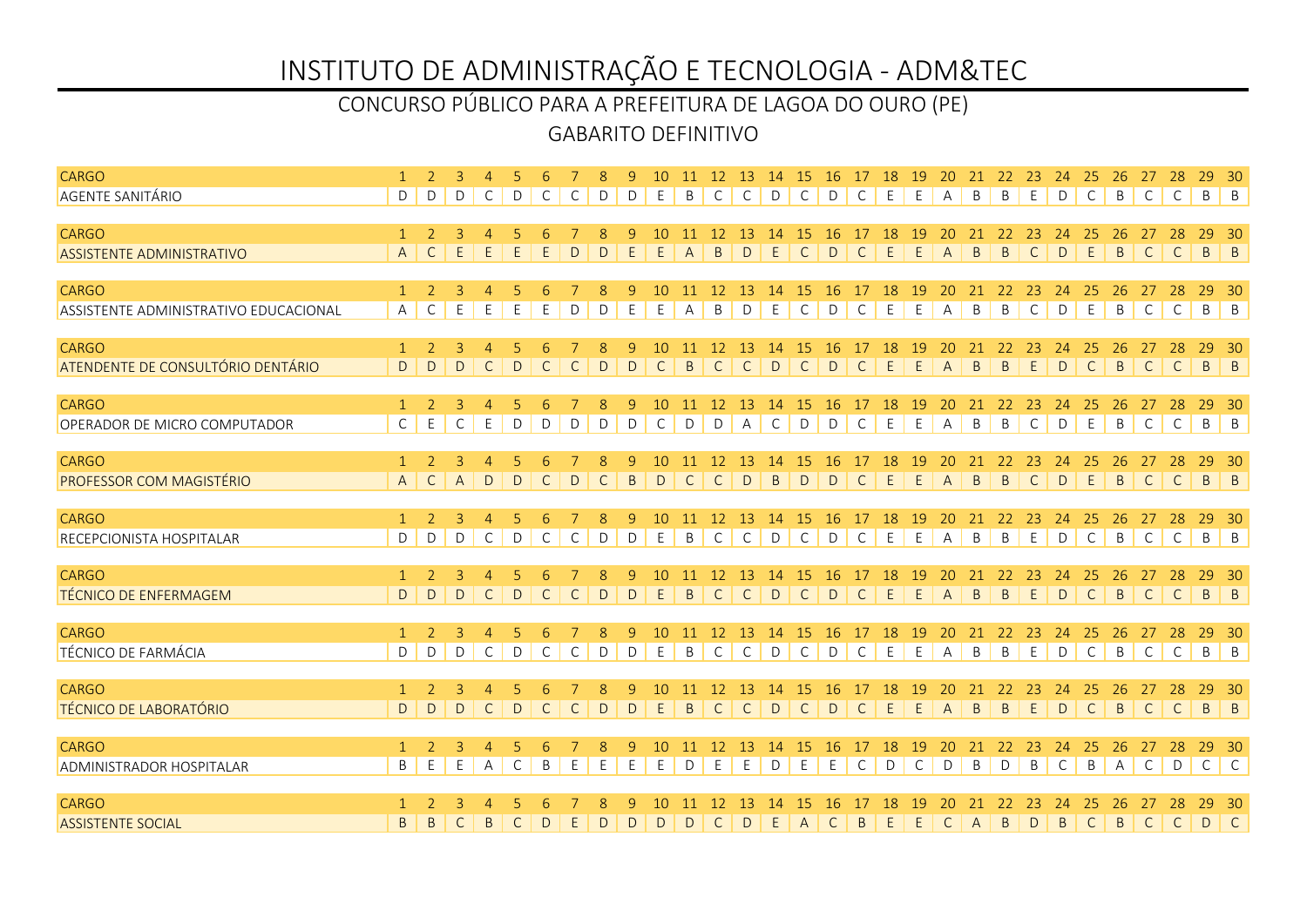### GABARITO DEFINITIVO CONCURSO PÚBLICO PARA A PREFEITURA DE LAGOA DO OURO (PE)

| <b>CARGO</b>                                  |                   |                |                     | $\overline{4}$                 |              |              |              | $\mathcal{R}$ | 9            | 10           | -11          | 12 13                         |                      | 14           | 15 16 17 18        |                |                    |             | 19            | <b>20</b>            |                | 21 22 23     |                    | 24           | 25                 | -26            | 27           | 28                 | 29                        | - 30                |
|-----------------------------------------------|-------------------|----------------|---------------------|--------------------------------|--------------|--------------|--------------|---------------|--------------|--------------|--------------|-------------------------------|----------------------|--------------|--------------------|----------------|--------------------|-------------|---------------|----------------------|----------------|--------------|--------------------|--------------|--------------------|----------------|--------------|--------------------|---------------------------|---------------------|
| <b>AGENTE SANITÁRIO</b>                       | D                 | D              | D                   | C                              | D            | C            | C            | D             | D            | E            | B            | $\mathsf{C}$                  | $\mathsf{C}$         | D            | $\mathsf{C}$       | D              | $\mathsf{C}$       | E           | E             | $\mathsf{A}$         | B              | B            | E                  | D            | $\mathsf{C}$       | B              | $\mathsf{C}$ | C                  | B B                       |                     |
|                                               |                   |                |                     |                                |              |              |              |               |              |              |              |                               |                      |              |                    |                |                    |             |               |                      |                |              |                    |              |                    |                |              |                    |                           |                     |
| <b>CARGO</b>                                  | $\mathbf{1}$      | $\overline{2}$ | 3                   |                                |              |              |              |               | 9            | 10           |              | <sup>12</sup>                 | -13                  | 14           | -15                | -16            | 17                 | 18          | <sup>19</sup> | 20                   | 21             | 22           | -23                | 24           | -25                | 26             | 27           | 28                 | 29                        | -30                 |
| <b>ASSISTENTE ADMINISTRATIVO</b>              | $\overline{A}$    | $\mathsf{C}$   | E                   | E                              | E            | E            | D            | D             | E            | E            | A            | B                             | D                    | E            | $\mathsf{C}$       | D              | $\mathsf{C}$       | E           | E             | $\overline{A}$       | $\mathsf{B}$   | B            | $\mathsf{C}$       | D            | E                  | B              | $\mathsf{C}$ | $\mathsf{C}$       | $\mathsf{B}$              | $\vert$ B           |
| <b>CARGO</b>                                  | $\mathbf{1}$      | 2              | $\overline{3}$      | $\overline{4}$                 | 5            |              |              | 8             | 9            | 10           | -11          | 12                            | 13                   | 14           | <sup>15</sup>      | <b>16</b>      | 17                 | 18          | <sup>19</sup> | 20                   | 21             | 22           | 23                 | 24           | 25                 | 26             | 27           | 28                 | 29                        | $-30$               |
| ASSISTENTE ADMINISTRATIVO EDUCACIONAL         | A                 | C              | E                   | E                              | E            | E            | D            | D             | E            | E            | Α            | B                             | D                    | E            | C                  | D              | C                  | E           | E             | Α                    | B              | B            | $\mathsf{C}$       | D            | E                  | B              | $\mathsf{C}$ | $\mathsf{C}$       | $\mathsf B$               | $\vert$ B           |
|                                               |                   |                |                     |                                |              |              |              |               |              |              |              |                               |                      |              |                    |                |                    |             |               |                      |                |              |                    |              |                    |                |              |                    |                           |                     |
| <b>CARGO</b>                                  | $\mathbf{1}$      | $\overline{2}$ | $\overline{3}$      | $\overline{4}$                 | 5            |              |              | 8             | 9            | 10           | 11           | 12                            | 13                   | 14           | 15                 | 16             | 17                 | 18          | 19            | 20                   | 21             | 22           | 23                 | 24           | 25                 |                |              | 28                 | 29                        | 30                  |
| ATENDENTE DE CONSULTÓRIO DENTÁRIO             | D                 | D              | $\mathsf{D}$        | $\mathsf{C}$                   | D            | $\mathsf{C}$ | $\mathsf{C}$ | $\mathsf{D}$  | $\mathsf{D}$ | $\mathsf{C}$ | $\mathsf{B}$ | $\mathsf{C}$                  | $\mathsf{C}$         | D            | $\mathsf{C}$       | D              | $\mathsf{C}$       | E           | E             | $\mathsf{A}$         | $\overline{B}$ | $\mathsf{B}$ | E                  | D            | $\mathsf{C}$       | $\overline{B}$ | $\mathsf{C}$ | C                  | $B \mid B$                |                     |
|                                               | $\mathbf{1}$      | $\overline{2}$ | $\overline{3}$      |                                |              |              |              |               |              | 10           |              | 12                            |                      | 14           |                    |                |                    | 18          |               |                      |                |              |                    |              |                    |                |              |                    |                           |                     |
| <b>CARGO</b><br>OPERADOR DE MICRO COMPUTADOR  | $\mathsf C$       | E              | $\mathsf{C}$        | $\overline{4}$<br>E            | D            | D            | D            | 8<br>D        | 9<br>D       | $\mathsf{C}$ | D            | D                             | 13<br>$\overline{A}$ | $\mathsf{C}$ | -15<br>D           | <b>16</b><br>D | C                  | E           | 19<br>E       | $\overline{A}$       | 21<br>B        | 22<br>B      | 23<br>$\mathsf{C}$ | 24<br>D      | 25<br>E            | 26<br>B        | $\mathsf{C}$ | 28<br>$\mathsf{C}$ | $\mathsf{B}$              | - 30<br>$\vert$ B   |
|                                               |                   |                |                     |                                |              |              |              |               |              |              |              |                               |                      |              |                    |                |                    |             |               |                      |                |              |                    |              |                    |                |              |                    |                           |                     |
| <b>CARGO</b>                                  | $\mathbf{1}$      | 2              | $\overline{3}$      | $\overline{4}$                 |              |              |              | 8             | 9            | 10           | 11           | <sup>12</sup>                 | <sup>13</sup>        | 14           | <sup>15</sup>      | <b>16</b>      | 17                 | 18          | <sup>19</sup> | 20                   | 21             | 22           | 23                 | 24           | 25                 | 26             | 27           | 28                 | 29                        | $-30$               |
| PROFESSOR COM MAGISTÉRIO                      | $\overline{A}$    | $\mathsf{C}$   | $\overline{A}$      | D                              | D            | $\mathsf{C}$ | D            | $\mathsf{C}$  | $\mathsf{B}$ | D            | $\mathsf{C}$ | $\mathsf{C}$                  | D                    | $\mathsf{B}$ | D                  | $\mathsf{D}$   | $\mathsf{C}$       | E           | E             | $\mathsf{A}$         | $\overline{B}$ | B            | $\mathsf{C}$       | D            | E                  | $\overline{B}$ | $\mathsf{C}$ | $\mathsf{C}$       | $B \mid B$                |                     |
|                                               |                   |                |                     |                                |              |              |              |               |              |              |              |                               |                      |              |                    |                |                    |             |               |                      |                |              |                    |              |                    |                |              |                    |                           |                     |
| <b>CARGO</b>                                  | $\mathbf{1}$      | 2              | 3                   | $\overline{4}$                 | 5            |              |              | 8             | 9            | 10           | 11           | 12                            | 13                   | 14           | 15                 | -16            | 17                 | 18          | <sup>19</sup> | 20                   | 21             | 22           | 23                 | 24           | -25                | 26             | 27           | 28                 | 29                        | $-30$               |
| RECEPCIONISTA HOSPITALAR                      | D                 | D              | D                   | $\mathsf{C}$                   | D            | $\mathsf C$  | $\mathsf{C}$ | D             | $\mathsf D$  | E            | B            | $\mathsf C$                   | $\mathsf C$          | $\mathsf D$  | $\mathsf C$        | $\mathsf D$    | $\mathsf C$        | E           | E             | A                    | $\,$ B         | $\sf B$      | E                  | $\mathsf D$  | $\mathsf C$        | B              | $\mathsf{C}$ | $\mathsf C$        | $B \mid B$                |                     |
| <b>CARGO</b>                                  | $\mathbf{1}$      | 2              | 3                   | 4                              |              |              |              | 8             | 9            | 10           | -11          | <sup>12</sup>                 | -13                  | 14           | 15                 | 16             | 17                 | 18          | 19            | 20                   | 21             | 22           | 23                 | -24          | 25                 | 26             | 27           | 28                 | 29                        | - 30                |
| <b>TÉCNICO DE ENFERMAGEM</b>                  | D                 | D              | D                   | $\mathsf{C}$                   | D            | $\mathsf{C}$ | $\mathsf{C}$ | $\mathsf D$   | $\mathsf D$  | E            | $\sf B$      | $\mathsf{C}$                  | $\mathsf{C}$         | $\mathsf{D}$ | $\mathsf{C}$       | $\mathsf{D}$   | $\mathsf{C}$       | $\mathsf E$ | $\mathsf E$   | $\mathsf{A}$         | $\sf B$        | $\mathsf B$  | $\mathsf E$        | $\mathsf{D}$ | $\mathsf{C}$       | $\mathsf{B}$   | $\mathsf{C}$ | $\mathsf{C}$       | $\mathsf B$               | $\vert$ B           |
|                                               |                   |                |                     |                                |              |              |              |               |              |              |              |                               |                      |              |                    |                |                    |             |               |                      |                |              |                    |              |                    |                |              |                    |                           |                     |
| <b>CARGO</b>                                  | $\mathbf{1}$      | 2              | 3                   | $\overline{4}$                 |              |              |              | 8             | 9            | 10           | 11           | 12                            | 13                   | 14           | <sup>15</sup>      | <b>16</b>      | 17                 | 18          | 19            | 20                   | 21             | 22           | 23                 | 24           | 25                 |                |              |                    | 29                        | - 30                |
| TÉCNICO DE FARMÁCIA                           | D                 | D              | D                   | C                              | $\mathsf D$  | $\mathsf{C}$ | C            | D             | D            | E            | B            | $\mathsf{C}$                  | $\mathsf{C}$         | D            | $\mathsf{C}$       | $\mathsf{D}$   | $\mathsf{C}$       | E           | E             | $\mathsf{A}$         | B              | B            | E                  | $\mathsf{D}$ | $\mathsf{C}$       | B              | $\mathsf{C}$ | $\mathsf{C}$       | $\mathsf{B}$ $\mathsf{B}$ |                     |
|                                               |                   |                |                     |                                |              |              |              |               |              |              |              |                               |                      |              |                    |                |                    |             |               |                      |                |              |                    |              |                    |                |              |                    |                           |                     |
| <b>CARGO</b><br><b>TÉCNICO DE LABORATÓRIO</b> | $\mathbf{1}$<br>D | 2<br>D         | $\overline{3}$<br>D | $\overline{4}$<br>$\mathsf{C}$ | 5<br>D       | $\mathsf{C}$ | $\mathsf{C}$ | 8<br>D        | 9<br>D       | 10<br>E      | B            | <sup>12</sup><br>$\mathsf{C}$ | 13<br>$\mathsf{C}$   | 14<br>D      | 15<br>$\mathsf{C}$ | -16<br>D       | 17<br>$\mathsf{C}$ | 18<br>E     | 19<br>E       | 20<br>$\overline{A}$ | $\overline{B}$ | 22<br>B      | -23<br>E           | 24<br>D      | 25<br>$\mathsf{C}$ | 26<br>B.       | $\mathsf{C}$ | 28<br>$\mathsf{C}$ | 29<br>$\mathsf{B}$        | -30<br>$\vert$ B    |
|                                               |                   |                |                     |                                |              |              |              |               |              |              |              |                               |                      |              |                    |                |                    |             |               |                      |                |              |                    |              |                    |                |              |                    |                           |                     |
| CARGO                                         | $\mathbf{1}$      | $\mathcal{P}$  | 3                   | 4                              |              | 6            |              | 8             | 9            | 10           |              | 12                            | 13                   | 14           | 15                 | -16            | 17                 | 18          | 19            | 20                   | 21             | 22           | 23                 | 24           | 25                 | 26             | 27           | 28                 | 29                        | $30^{\circ}$        |
| <b>ADMINISTRADOR HOSPITALAR</b>               | B                 | Ε              | E                   | A                              | C            | B            | E            | E             | E            | E            | D            | E                             | E                    | D            | E                  | E              | C                  | D           | C             | D                    | B              | D            | B                  | C            | B                  | $\overline{A}$ | C            | $\mathsf{D}$       | $\mathsf{C}$              | $\lfloor C \rfloor$ |
|                                               |                   |                |                     |                                |              |              |              |               |              |              |              |                               |                      |              |                    |                |                    |             |               |                      |                |              |                    |              |                    |                |              |                    |                           |                     |
| CARGO                                         |                   |                |                     |                                |              |              |              |               |              |              |              | 12                            |                      | 14           |                    | 16             |                    | 18          | 19            |                      |                | 22           | -23                | 24           | 25                 | 26             | -27          | 28                 | 29                        | - 30                |
| <b>ASSISTENTE SOCIAL</b>                      | B                 | B              | C                   | B                              | $\mathsf{C}$ | D            | E.           | D             | D            | D            | D            | C                             | D                    | E            | $\overline{A}$     | $\mathsf{C}$   | B                  | E           | E             | $\mathsf{C}$         | A              | B            | D                  | $\mathsf{B}$ | $\mathsf{C}$       | B              | $\mathsf{C}$ | $\overline{C}$     | D C                       |                     |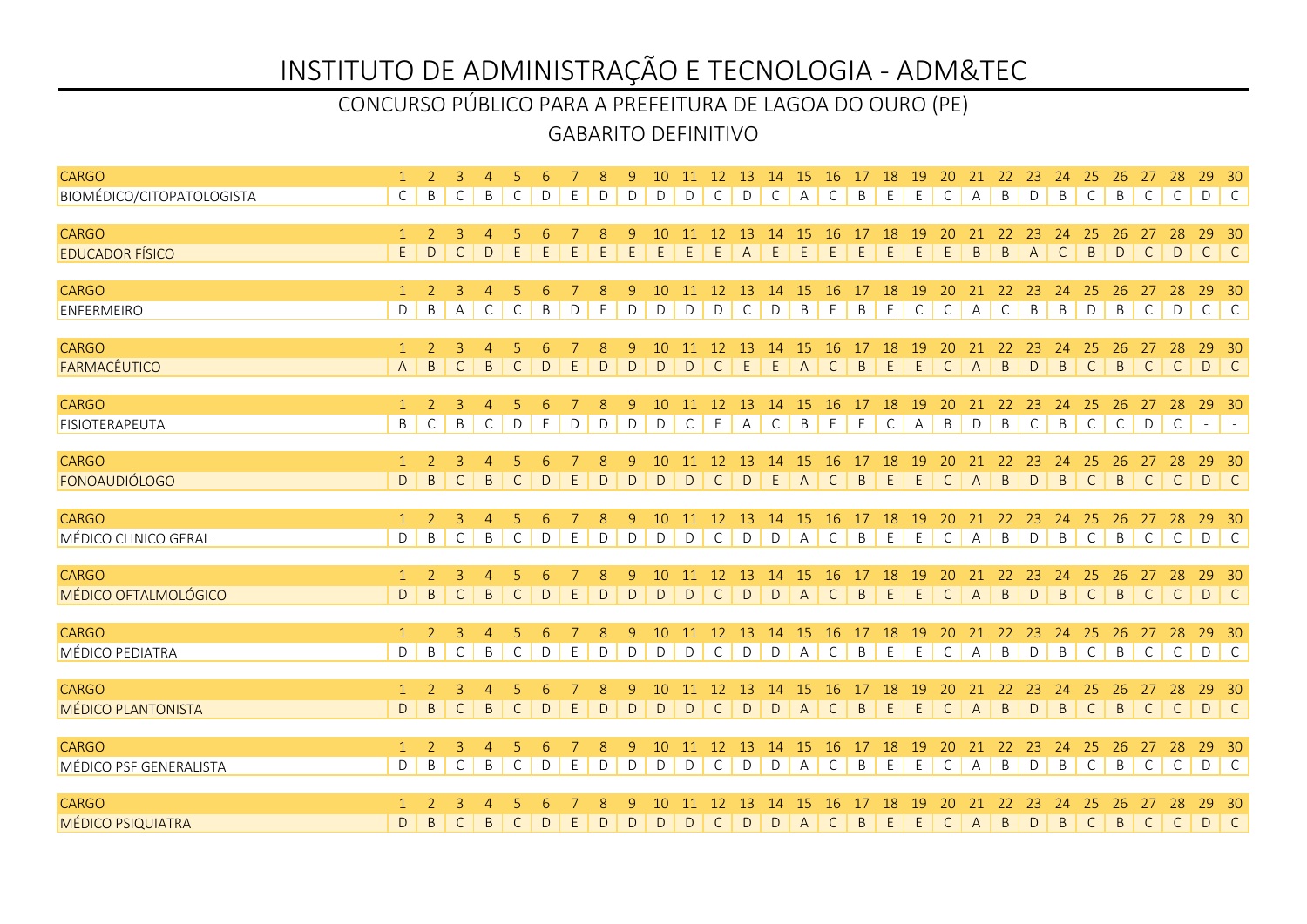### GABARITO DEFINITIVO CONCURSO PÚBLICO PARA A PREFEITURA DE LAGOA DO OURO (PE)

| <b>CARGO</b>                           |                                |                     |                   | $\overline{4}$ |              |              |   |        |              | 10              | 11           | 12                 | 13                    | 14            | 15             | 16 17 18           |              |              | 19             | 20                 |                   | 21 22 23     |                       | 24                   | 25                 | 26             | 27                 | 28           | 29 30              |                                                                    |
|----------------------------------------|--------------------------------|---------------------|-------------------|----------------|--------------|--------------|---|--------|--------------|-----------------|--------------|--------------------|-----------------------|---------------|----------------|--------------------|--------------|--------------|----------------|--------------------|-------------------|--------------|-----------------------|----------------------|--------------------|----------------|--------------------|--------------|--------------------|--------------------------------------------------------------------|
| BIOMÉDICO/CITOPATOLOGISTA              | $\mathsf{C}$                   | B                   | C                 | B              | C            | D            | E | D      | D            | D               | D            | $\mathsf{C}$       | D                     | $\mathsf{C}$  | $\mathsf{A}$   | $\mathsf{C}$       | B            | E            | E              | $\mathsf{C}$       | A                 | B            | D                     | $\mathsf B$          | $\mathsf{C}$       | B              | $\mathsf{C}$       | $\mathsf{C}$ | DC                 |                                                                    |
|                                        |                                |                     |                   |                |              |              |   |        |              |                 |              |                    |                       |               |                |                    |              |              |                |                    |                   |              |                       |                      |                    |                |                    |              |                    |                                                                    |
| <b>CARGO</b><br><b>EDUCADOR FÍSICO</b> | $\mathbf{1}$<br>$\mathsf E$    | $\overline{2}$<br>D | 3<br>$\mathsf{C}$ | D              | E            | E            | F | E      | 9<br>E       | E               | E            | 12<br>E            | -13<br>$\overline{A}$ | 14<br>E       | -15<br>E       | 16<br>E            | E.           | 18<br>E      | 19<br>E        | 20<br>E            | 21<br>$\mathsf B$ | 22<br>B      | -23<br>$\overline{A}$ | -24<br>$\mathsf{C}$  | -25<br>B           | 26<br>D        | 27<br>$\mathsf{C}$ | 28<br>D      | 29<br>$\mathsf{C}$ | -30<br>$\begin{array}{c} \begin{array}{c} \end{array} \end{array}$ |
|                                        |                                |                     |                   |                |              |              |   |        |              |                 |              |                    |                       |               |                |                    |              |              |                |                    |                   |              |                       |                      |                    |                |                    |              |                    |                                                                    |
| <b>CARGO</b>                           | $\mathbf{1}$                   | 2                   | 3                 | $\overline{4}$ | 5            | 6            |   | 8      | 9            | 10              | 11           | <sup>12</sup>      | 13                    | 14            | <b>15</b>      | 16                 | 17           | 18           | <sup>19</sup>  | 20                 | 21                | 22           | 23                    | 24                   | 25                 | 26             | 27                 | 28           | 29                 | 30                                                                 |
| <b>ENFERMEIRO</b>                      | D                              | B                   | $\mathsf{A}$      | $\mathsf{C}$   | $\mathsf{C}$ | B            | D | E      | D            | D               | D            | D                  | $\mathsf{C}$          | D             | B              | E                  | B            | E            | $\mathsf C$    | $\mathsf{C}$       | A                 | $\mathsf{C}$ | $\sf B$               | B                    | D                  | $\mathsf B$    | $\mathsf{C}$       | $\mathsf D$  | $C$ $C$            |                                                                    |
|                                        |                                |                     |                   |                |              |              |   |        |              |                 |              |                    |                       |               |                |                    |              |              |                |                    |                   |              |                       |                      |                    |                |                    |              |                    |                                                                    |
| <b>CARGO</b><br>FARMACÊUTICO           | $\mathbf{1}$<br>$\overline{A}$ | 2<br>$\mathsf{B}$   | $\overline{3}$    | $\overline{4}$ | 5            | 6            |   | 8<br>D | 9            | 10<br>D         | 11<br>D      | 12<br>$\mathsf{C}$ | 13                    | 14<br>E       | 15             | 16<br>$\mathsf{C}$ | 17           | 18           | 19<br>E        | 20<br>$\mathsf{C}$ | 21<br>A           | 22<br>B      | 23<br>$\vert$ D       | 24<br>$\overline{B}$ | 25<br>$\mathsf{C}$ | 26<br>B        | 27<br>C   C        | 28           | 29<br>DC           | 30                                                                 |
|                                        |                                |                     | $\mathsf{C}$      | $\mathsf{B}$   | $\mathsf{C}$ | $\mathsf{D}$ | E |        | $\mathsf{D}$ |                 |              |                    | E                     |               | A              |                    | $\mathsf{B}$ | E            |                |                    |                   |              |                       |                      |                    |                |                    |              |                    |                                                                    |
| <b>CARGO</b>                           | $\mathbf{1}$                   | 2                   | $\overline{3}$    | $\overline{4}$ |              |              |   | 8      | 9            |                 |              | 12                 | 13                    | 14            | 15             | 16                 |              | 18           | 19             |                    | 21                | 22           | 23                    | 24                   | 25                 | 26             | 27                 | 28           | 29                 | - 30                                                               |
| FISIOTERAPEUTA                         | $\sf B$                        | $\mathsf{C}$        | B                 | $\mathsf{C}$   | D            | E            | D | D      | D            | D               | $\mathsf{C}$ | E                  | $\overline{A}$        | $\mathsf{C}$  | B              | E                  | E            | $\mathsf{C}$ | $\overline{A}$ | B                  | D                 | B            | $\mathsf{C}$          | $\mathsf B$          | $\mathsf{C}$       | $\mathsf{C}$   | D                  | $\mathsf{C}$ | $\sim$ $-$         | $\sim$ $-$                                                         |
|                                        |                                |                     |                   |                |              |              |   |        |              |                 |              |                    |                       |               |                |                    |              |              |                |                    |                   |              |                       |                      |                    |                |                    |              |                    |                                                                    |
| <b>CARGO</b>                           | $\mathbf{1}$                   | 2                   | 3                 | $\overline{4}$ | 5            | 6            |   | 8      | 9            | 10              | 11           | <sup>12</sup>      | 13                    | <sup>14</sup> | 15             | <b>16</b>          | 17           | 18           | <sup>19</sup>  | 20                 | 21                | 22           | 23                    | 24                   | 25                 | 26             | 27                 | 28           | 29                 | $-30$                                                              |
| <b>FONOAUDIÓLOGO</b>                   | D                              | $\sf B$             | $\mathsf{C}$      | $\mathsf{B}$   | $\mathsf{C}$ | D            | E | D      | $\mathsf D$  | D               | D            | $\mathsf{C}$       | $\mathsf D$           | E             | $\mathsf{A}$   | $\mathsf{C}$       | B            | E            | E              | $\mathsf{C}$       | $\overline{A}$    | B            | D                     | $\sf B$              | $\mathsf{C}$       | $\overline{B}$ | $\mathsf{C}$       | $\mathsf{C}$ | D C                |                                                                    |
| <b>CARGO</b>                           | 1                              | 2                   | 3                 | $\overline{4}$ |              |              |   | 8      | 9            | 10 <sup>1</sup> | 11           | 12                 | 13                    | 14            | -15            | -16                | 17           | 18           | 19             | 20                 | 21                | 22           | 23                    | 24                   | 25                 | 26             | 27                 | 28           | 29                 | 30                                                                 |
| MÉDICO CLINICO GERAL                   | $\mathsf D$                    | $\sf B$             | $\mathsf{C}$      | $\sf B$        | $\mathsf{C}$ | D            | Ε | D      | $\mathsf D$  | D               | D            | $\mathsf C$        | $\mathsf D$           | $\mathsf D$   | $\mathsf{A}$   | $\mathsf{C}$       | $\sf B$      | E            | E              | $\mathsf C$        | A                 | $\sf B$      | $\mathsf D$           | $\sf B$              | $\mathsf C$        | $\,$ B         | $\mathsf C$        | $\mathsf C$  | $D \mid C$         |                                                                    |
|                                        |                                |                     |                   |                |              |              |   |        |              |                 |              |                    |                       |               |                |                    |              |              |                |                    |                   |              |                       |                      |                    |                |                    |              |                    |                                                                    |
| <b>CARGO</b>                           | $\mathbf{1}$                   | 2                   | 3                 | $\overline{4}$ |              |              |   |        | 9            | 10              | 11           | 12                 | -13                   | 14            | 15             | 16                 | 17           | 18           | 19             | 20                 | 21                | 22           | 23                    | 24                   | 25                 | 26             | 27                 | 28           | 29                 | 30                                                                 |
| MÉDICO OFTALMOLÓGICO                   | D                              | B                   | $\mathsf{C}$      | $\sf B$        | $\mathsf{C}$ | D            | E | D      | $\mathsf D$  | D               | D            | $\mathsf{C}$       | $\mathsf D$           | $\mathsf{D}$  | $\overline{A}$ | $\mathsf{C}$       | B            | E            | $\mathsf E$    | $\mathsf C$        | $\mathsf A$       | $\mathsf B$  | $\mathsf{D}$          | $\sf B$              | $\mathsf{C}$       | $\mathsf B$    | $\mathsf{C}$       | $\mathsf{C}$ | D C                |                                                                    |
| <b>CARGO</b>                           | $\mathbf{1}$                   | 2                   | 3                 | $\overline{4}$ |              |              |   | 8      | 9            | 10              | 11           | 12                 | 13                    | 14            | 15             | <b>16</b>          | 17           | 18           | 19             | 20                 | 21                | 22           | 23                    | 24                   | 25                 | 26             | 27                 | 28           | 29                 | - 30                                                               |
| <b>MÉDICO PEDIATRA</b>                 | D                              | B                   | $\mathsf C$       | $\mathsf B$    | $\mathsf{C}$ | D            | E | D      | D            | D               | D            | $\mathsf{C}$       | $\mathsf D$           | $\mathsf{D}$  | $\mathsf{A}$   | $\mathsf{C}$       | B            | E            | E              | $\mathsf{C}$       | $\overline{A}$    | B            | $\vert$ D             | B                    | $\mathsf C$        | B              | $\mathsf{C}$       | $\mathsf{C}$ | D C                |                                                                    |
|                                        |                                |                     |                   |                |              |              |   |        |              |                 |              |                    |                       |               |                |                    |              |              |                |                    |                   |              |                       |                      |                    |                |                    |              |                    |                                                                    |
| <b>CARGO</b>                           | $\mathbf{1}$                   | 2                   | 3                 | $\overline{4}$ | 5            |              |   | 8      | 9            | 10 <sup>1</sup> | -11          | 12                 | 13                    | 14            | <b>15</b>      | -16                | 17           | 18           | 19             | 20                 |                   | 22           | 23                    | 24                   | 25                 | 26             |                    | 28           | 29                 | - 30                                                               |
| <b>MÉDICO PLANTONISTA</b>              | D                              | B                   | $\mathsf{C}$      | $\mathsf{B}$   | $\mathsf{C}$ | D            | E | D      | D            | D               | D            | $\mathsf{C}$       | D                     | D             | $\overline{A}$ | $\mathsf{C}$       | B            | E            | E              | $\mathsf{C}$       | $\overline{A}$    | B            | D                     | $\mathsf{B}$         | $\mathsf{C}$       | $\overline{B}$ | $\mathsf{C}$       | $\mathsf{C}$ | D C                |                                                                    |
| <b>CARGO</b>                           | $\overline{1}$                 | $\mathcal{L}$       | 3                 | $\overline{4}$ | 5            | 6            |   | 8      | 9            | 10              |              | 12                 | -13                   | 14            | 15             | -16                | 17           | 18           | 19             | 20                 | 21                | 22           | 23                    | 24                   | 25                 | 26             | 27                 | 28           | 29 30              |                                                                    |
| MÉDICO PSF GENERALISTA                 | D                              | B                   | C                 | B              | C            | D            | E | D      | D            | D               | D            | C                  | D                     | D             | A              | C                  | B            | E            | E              | C                  | А                 | B            | D                     | B                    | $\mathsf{C}$       | B              | $\mathsf{C}$       | $\mathsf{C}$ | D C                |                                                                    |
|                                        |                                |                     |                   |                |              |              |   |        |              |                 |              |                    |                       |               |                |                    |              |              |                |                    |                   |              |                       |                      |                    |                |                    |              |                    |                                                                    |
| <b>CARGO</b>                           |                                |                     |                   |                |              |              |   |        |              |                 |              |                    |                       | 14            |                | 16                 |              | <b>18</b>    | 19             |                    |                   | 22           | 23                    | 24                   | 25 <sub>l</sub>    | 26             | -27                | 28           | 29                 | - 30                                                               |
| <b>MÉDICO PSIQUIATRA</b>               | D                              | B                   | C                 | B              | $\mathsf{C}$ | D            |   | D      | D            | D               | D            | C                  | D                     | D             | $\mathsf{A}$   | $\mathsf{C}$       | B            | E            | E              | $\mathsf{C}$       | $\overline{A}$    | B            | D                     | $\mathsf B$          | $\mathsf{C}$       | $\overline{B}$ | $\mathsf{C}$       | C            | D C                |                                                                    |